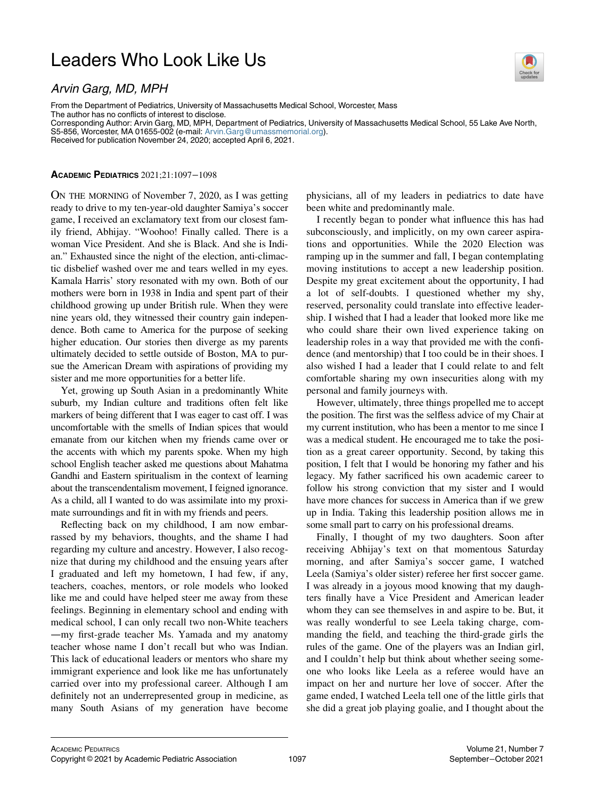## Leaders Who Look Like Us



Arvin Garg, MD, MPH From the Department of Pediatrics, University of Massachusetts Medical School, Worcester, Mass The author has no conflicts of interest to disclose.

Corresponding Author: Arvin Garg, MD, MPH, Department of Pediatrics, University of Massachusetts Medical School, 55 Lake Ave North, S5-856, Worcester, MA 01655-002 (e-mail: [Arvin.Garg@umassmemorial.org\)](mailto:Arvin.Garg@umassmemorial.org).

Received for publication November 24, 2020; accepted April 6, 2021.

## ACADEMIC PEDIATRICS 2021;21:1097−1098

ON THE MORNING of November 7, 2020, as I was getting ready to drive to my ten-year-old daughter Samiya's soccer game, I received an exclamatory text from our closest family friend, Abhijay. "Woohoo! Finally called. There is a woman Vice President. And she is Black. And she is Indian." Exhausted since the night of the election, anti-climactic disbelief washed over me and tears welled in my eyes. Kamala Harris' story resonated with my own. Both of our mothers were born in 1938 in India and spent part of their childhood growing up under British rule. When they were nine years old, they witnessed their country gain independence. Both came to America for the purpose of seeking higher education. Our stories then diverge as my parents ultimately decided to settle outside of Boston, MA to pursue the American Dream with aspirations of providing my sister and me more opportunities for a better life.

Yet, growing up South Asian in a predominantly White suburb, my Indian culture and traditions often felt like markers of being different that I was eager to cast off. I was uncomfortable with the smells of Indian spices that would emanate from our kitchen when my friends came over or the accents with which my parents spoke. When my high school English teacher asked me questions about Mahatma Gandhi and Eastern spiritualism in the context of learning about the transcendentalism movement, I feigned ignorance. As a child, all I wanted to do was assimilate into my proximate surroundings and fit in with my friends and peers.

Reflecting back on my childhood, I am now embarrassed by my behaviors, thoughts, and the shame I had regarding my culture and ancestry. However, I also recognize that during my childhood and the ensuing years after I graduated and left my hometown, I had few, if any, teachers, coaches, mentors, or role models who looked like me and could have helped steer me away from these feelings. Beginning in elementary school and ending with medical school, I can only recall two non-White teachers —my first-grade teacher Ms. Yamada and my anatomy teacher whose name I don't recall but who was Indian. This lack of educational leaders or mentors who share my immigrant experience and look like me has unfortunately carried over into my professional career. Although I am definitely not an underrepresented group in medicine, as many South Asians of my generation have become physicians, all of my leaders in pediatrics to date have been white and predominantly male.

I recently began to ponder what influence this has had subconsciously, and implicitly, on my own career aspirations and opportunities. While the 2020 Election was ramping up in the summer and fall, I began contemplating moving institutions to accept a new leadership position. Despite my great excitement about the opportunity, I had a lot of self-doubts. I questioned whether my shy, reserved, personality could translate into effective leadership. I wished that I had a leader that looked more like me who could share their own lived experience taking on leadership roles in a way that provided me with the confidence (and mentorship) that I too could be in their shoes. I also wished I had a leader that I could relate to and felt comfortable sharing my own insecurities along with my personal and family journeys with.

However, ultimately, three things propelled me to accept the position. The first was the selfless advice of my Chair at my current institution, who has been a mentor to me since I was a medical student. He encouraged me to take the position as a great career opportunity. Second, by taking this position, I felt that I would be honoring my father and his legacy. My father sacrificed his own academic career to follow his strong conviction that my sister and I would have more chances for success in America than if we grew up in India. Taking this leadership position allows me in some small part to carry on his professional dreams.

Finally, I thought of my two daughters. Soon after receiving Abhijay's text on that momentous Saturday morning, and after Samiya's soccer game, I watched Leela (Samiya's older sister) referee her first soccer game. I was already in a joyous mood knowing that my daughters finally have a Vice President and American leader whom they can see themselves in and aspire to be. But, it was really wonderful to see Leela taking charge, commanding the field, and teaching the third-grade girls the rules of the game. One of the players was an Indian girl, and I couldn't help but think about whether seeing someone who looks like Leela as a referee would have an impact on her and nurture her love of soccer. After the game ended, I watched Leela tell one of the little girls that she did a great job playing goalie, and I thought about the